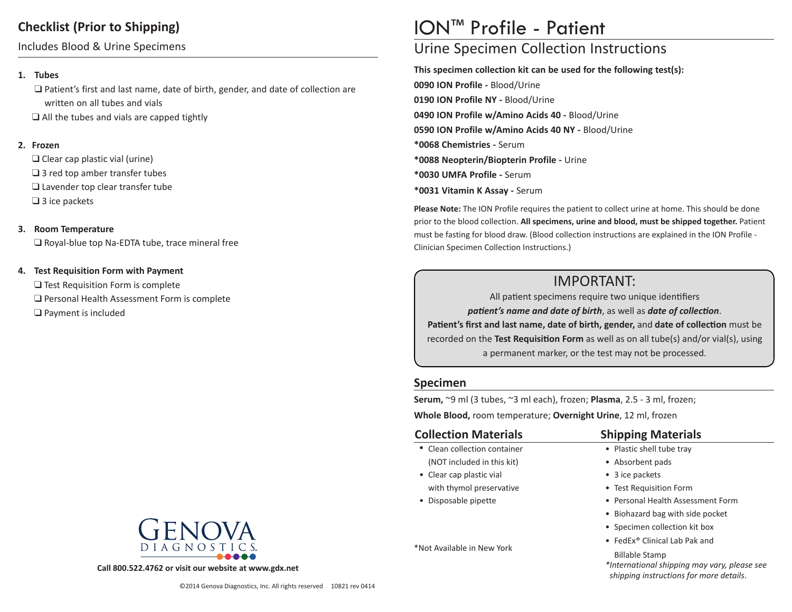## **Checklist (Prior to Shipping)**

Includes Blood & Urine Specimens

#### **1. Tubes**

 $\Box$  Patient's first and last name, date of birth, gender, and date of collection are written on all tubes and vials

 $\Box$  All the tubes and vials are capped tightly

#### **2. Frozen**

 $\Box$  Clear cap plastic vial (urine)  $\square$  3 red top amber transfer tubes  $\Box$  Lavender top clear transfer tube  $\Box$  3 ice packets

#### **3. Room Temperature**

 $\square$  Royal-blue top Na-EDTA tube, trace mineral free

#### **4. Test Requisition Form with Payment**

 $\Box$  Test Requisition Form is complete  $\Box$  Personal Health Assessment Form is complete  $\Box$  Payment is included



**Call 800.522.4762 or visit our website at www.gdx.net**

# ION™ Profile - Patient

# Urine Specimen Collection Instructions

**This specimen collection kit can be used for the following test(s): 0090 ION Profile -** Blood/Urine **0190 ION Profile NY -** Blood/Urine **0490 ION Profile w/Amino Acids 40 -** Blood/Urine **0590 ION Profile w/Amino Acids 40 NY -** Blood/Urine **\*0068 Chemistries -** Serum **\*0088 Neopterin/Biopterin Profile -** Urine **\*0030 UMFA Profile -** Serum **\*0031 Vitamin K Assay -** Serum

**Please Note:** The ION Profile requires the patient to collect urine at home. This should be done prior to the blood collection. **All specimens, urine and blood, must be shipped together.** Patient must be fasting for blood draw. (Blood collection instructions are explained in the ION Profile - Clinician Specimen Collection Instructions.)

# IMPORTANT:

All patient specimens require two unique identifiers *patient's name and date of birth*, as well as *date of collection*. **Patient's first and last name, date of birth, gender,** and **date of collection** must be recorded on the **Test Requisition Form** as well as on all tube(s) and/or vial(s), using a permanent marker, or the test may not be processed.

### **Specimen**

**Serum,** ~9 ml (3 tubes, ~3 ml each), frozen; **Plasma**, 2.5 - 3 ml, frozen;

**Whole Blood,** room temperature; **Overnight Urine**, 12 ml, frozen

### **Collection Materials**

- Clean collection container (NOT included in this kit)
- Clear cap plastic vial with thymol preservative
- Disposable pipette

\*Not Available in New York

# **Shipping Materials**

- Plastic shell tube tray
- Absorbent pads
- 3 ice packets
- Test Requisition Form
- Personal Health Assessment Form
- Biohazard bag with side pocket
- Specimen collection kit box
- FedEx® Clinical Lab Pak and
	- Billable Stamp
- *\*International shipping may vary, please see shipping instructions for more details*.